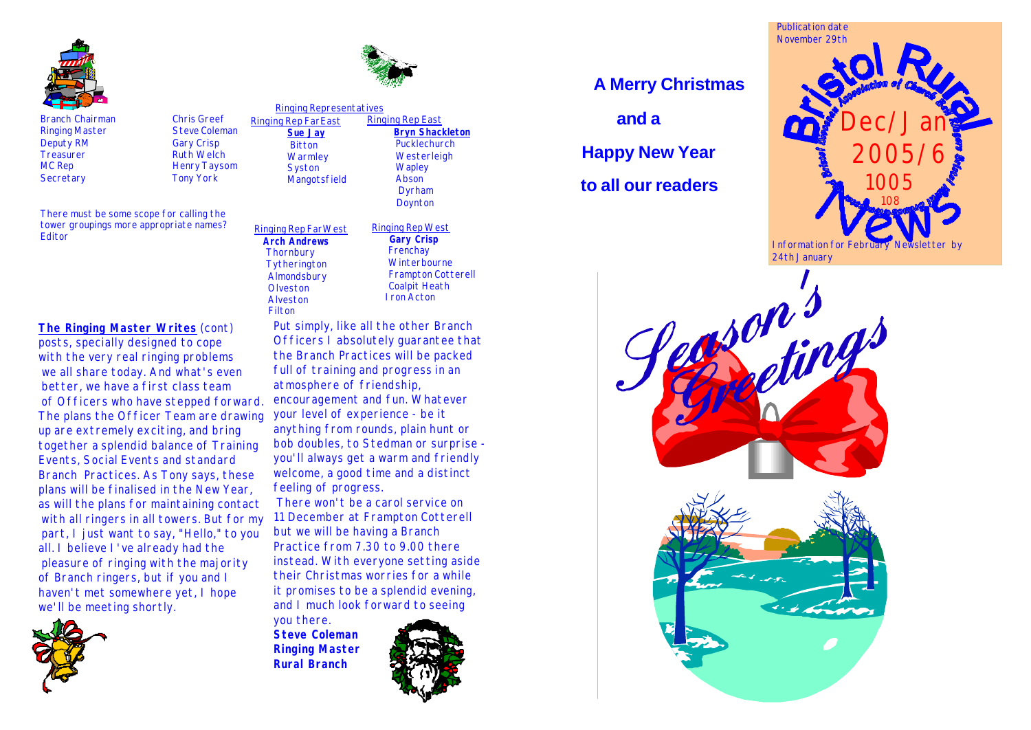

Branch Chairman Chris Greef Ringing Master Steve Coleman Deputy RM Gary Crisp<br>
Treasurer Ruth Welcl Treasurer Ruth Welch Secretary **Tony York** 

There must be some scope for calling the tower groupings more appropriate names? Editor

Henry Taysom

 Ringing Rep FarEast **Sue Jay Bitton Warmley Syston Mangotsfield** Ringing Representatives

#### Ringing Rep East **Bryn Shackleton** Pucklechurch **Westerleigh Wapley**  Abson Dyrham Doynton

Ringing Rep West **Gary Crisp Frenchay Winterbourne**  Frampton Cotterell Coalpit Heath Iron Acton

Ringing Rep FarWest **Arch Andrews Thornbury Tytherington Almondsbury Olveston**  Alveston Filton

## **The Ringing Master Writes** (cont)

posts, specially designed to cope with the very real ringing problems we all share today. And what's even better, we have a first class team of Officers who have stepped forward. The plans the Officer Team are drawing up are extremely exciting, and bring together a splendid balance of Training Events, Social Events and standard Branch Practices. As Tony says, these plans will be finalised in the New Year, as will the plans for maintaining contact with all ringers in all towers. But for my part, I just want to say, "Hello," to you all. I believe I've already had the pleasure of ringing with the majority of Branch ringers, but if you and I haven't met somewhere yet, I hope we'll be meeting shortly.

Put simply, like all the other Branch Officers I absolutely guarantee that the Branch Practices will be packed full of training and progress in an atmosphere of friendship, encouragement and fun. Whatever your level of experience - be it anything from rounds, plain hunt or bob doubles, to Stedman or surprise you'll always get a warm and friendly welcome, a good time and a distinct feeling of progress. There won't be a carol service on

11 December at Frampton Cotterell but we will be having a Branch Practice from 7.30 to 9.00 there instead. With everyone setting aside their Christmas worries for a while it promises to be a splendid evening, and I much look forward to seeing

you there. **Steve Coleman Ringing Master Rural Branch**



# **A Merry Christmas**

 **and a**

 **Happy New Year**

 **to all our readers**